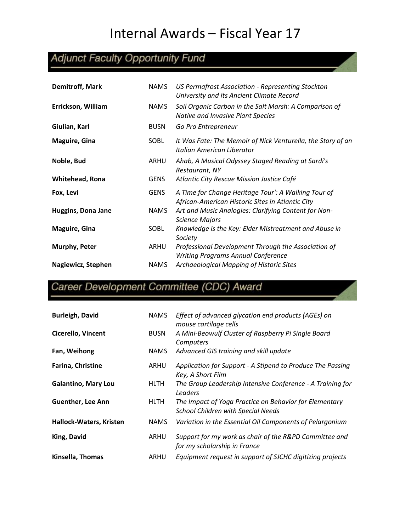## Adjunct Faculty Opportunity Fund

| <b>Demitroff, Mark</b> | <b>NAMS</b> | <b>US Permafrost Association - Representing Stockton</b><br>University and its Ancient Climate Record   |
|------------------------|-------------|---------------------------------------------------------------------------------------------------------|
| Errickson, William     | <b>NAMS</b> | Soil Organic Carbon in the Salt Marsh: A Comparison of<br>Native and Invasive Plant Species             |
| Giulian, Karl          | <b>BUSN</b> | Go Pro Entrepreneur                                                                                     |
| <b>Maguire, Gina</b>   | <b>SOBL</b> | It Was Fate: The Memoir of Nick Venturella, the Story of an<br>Italian American Liberator               |
| Noble, Bud             | ARHU        | Ahab, A Musical Odyssey Staged Reading at Sardi's<br>Restaurant, NY                                     |
| Whitehead, Rona        | <b>GENS</b> | Atlantic City Rescue Mission Justice Café                                                               |
| Fox, Levi              | <b>GENS</b> | A Time for Change Heritage Tour': A Walking Tour of<br>African-American Historic Sites in Atlantic City |
| Huggins, Dona Jane     | <b>NAMS</b> | Art and Music Analogies: Clarifying Content for Non-<br><b>Science Majors</b>                           |
| <b>Maguire, Gina</b>   | <b>SOBL</b> | Knowledge is the Key: Elder Mistreatment and Abuse in<br>Society                                        |
| Murphy, Peter          | ARHU        | Professional Development Through the Association of<br><b>Writing Programs Annual Conference</b>        |
| Nagiewicz, Stephen     | <b>NAMS</b> | Archaeological Mapping of Historic Sites                                                                |

### Career Development Committee (CDC) Award

| <b>Burleigh, David</b>     | <b>NAMS</b> | Effect of advanced glycation end products (AGEs) on<br>mouse cartilage cells                        |
|----------------------------|-------------|-----------------------------------------------------------------------------------------------------|
| Cicerello, Vincent         | <b>BUSN</b> | A Mini-Beowulf Cluster of Raspberry Pi Single Board<br>Computers                                    |
| Fan, Weihong               | <b>NAMS</b> | Advanced GIS training and skill update                                                              |
| <b>Farina, Christine</b>   | ARHU        | Application for Support - A Stipend to Produce The Passing<br>Key, A Short Film                     |
| <b>Galantino, Mary Lou</b> | HLTH        | The Group Leadership Intensive Conference - A Training for<br>Leaders                               |
| Guenther, Lee Ann          | <b>HLTH</b> | The Impact of Yoga Practice on Behavior for Elementary<br><b>School Children with Special Needs</b> |
| Hallock-Waters, Kristen    | <b>NAMS</b> | Variation in the Essential Oil Components of Pelargonium                                            |
| King, David                | ARHU        | Support for my work as chair of the R&PD Committee and<br>for my scholarship in France              |
| Kinsella, Thomas           | ARHU        | Equipment request in support of SJCHC digitizing projects                                           |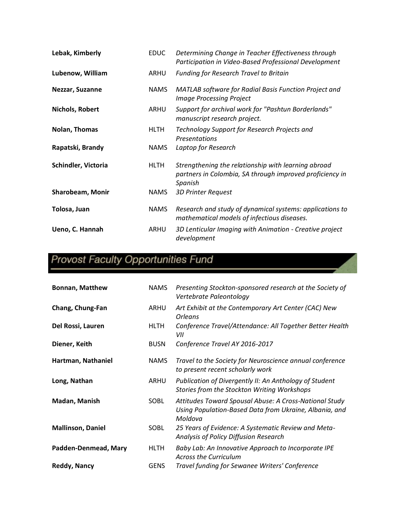| Lebak, Kimberly     | <b>EDUC</b> | Determining Change in Teacher Effectiveness through<br>Participation in Video-Based Professional Development               |
|---------------------|-------------|----------------------------------------------------------------------------------------------------------------------------|
| Lubenow, William    | ARHU        | Funding for Research Travel to Britain                                                                                     |
| Nezzar, Suzanne     | <b>NAMS</b> | MATLAB software for Radial Basis Function Project and<br><b>Image Processing Project</b>                                   |
| Nichols, Robert     | ARHU        | Support for archival work for "Pashtun Borderlands"<br>manuscript research project.                                        |
| Nolan, Thomas       | <b>HLTH</b> | Technology Support for Research Projects and<br>Presentations                                                              |
| Rapatski, Brandy    | <b>NAMS</b> | Laptop for Research                                                                                                        |
| Schindler, Victoria | <b>HLTH</b> | Strengthening the relationship with learning abroad<br>partners in Colombia, SA through improved proficiency in<br>Spanish |
| Sharobeam, Monir    | <b>NAMS</b> | <b>3D Printer Request</b>                                                                                                  |
| Tolosa, Juan        | NAMS        | Research and study of dynamical systems: applications to<br>mathematical models of infectious diseases.                    |
| Ueno, C. Hannah     | ARHU        | 3D Lenticular Imaging with Animation - Creative project<br>development                                                     |

# Provost Faculty Opportunities Fund

| <b>Bonnan, Matthew</b>   | <b>NAMS</b> | Presenting Stockton-sponsored research at the Society of<br>Vertebrate Paleontology                                         |
|--------------------------|-------------|-----------------------------------------------------------------------------------------------------------------------------|
| Chang, Chung-Fan         | ARHU        | Art Exhibit at the Contemporary Art Center (CAC) New<br><b>Orleans</b>                                                      |
| Del Rossi, Lauren        | <b>HLTH</b> | Conference Travel/Attendance: All Together Better Health<br>VII                                                             |
| Diener, Keith            | <b>BUSN</b> | Conference Travel AY 2016-2017                                                                                              |
| Hartman, Nathaniel       | <b>NAMS</b> | Travel to the Society for Neuroscience annual conference<br>to present recent scholarly work                                |
| Long, Nathan             | ARHU        | Publication of Divergently II: An Anthology of Student<br>Stories from the Stockton Writing Workshops                       |
| Madan, Manish            | <b>SOBL</b> | Attitudes Toward Spousal Abuse: A Cross-National Study<br>Using Population-Based Data from Ukraine, Albania, and<br>Moldova |
| <b>Mallinson, Daniel</b> | <b>SOBL</b> | 25 Years of Evidence: A Systematic Review and Meta-<br>Analysis of Policy Diffusion Research                                |
| Padden-Denmead, Mary     | HLTH        | Baby Lab: An Innovative Approach to Incorporate IPE<br><b>Across the Curriculum</b>                                         |
| <b>Reddy, Nancy</b>      | <b>GENS</b> | Travel funding for Sewanee Writers' Conference                                                                              |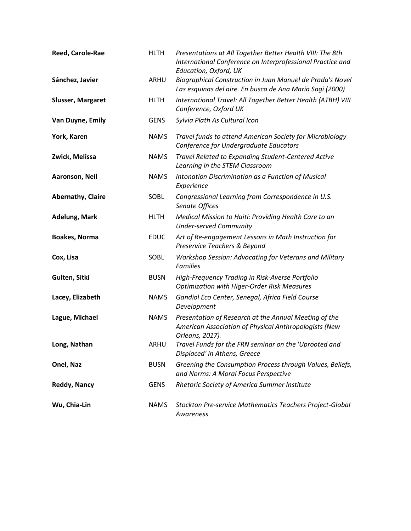| Reed, Carole-Rae         | <b>HLTH</b> | Presentations at All Together Better Health VIII: The 8th<br>International Conference on Interprofessional Practice and<br>Education, Oxford, UK |
|--------------------------|-------------|--------------------------------------------------------------------------------------------------------------------------------------------------|
| Sánchez, Javier          | ARHU        | Biographical Construction in Juan Manuel de Prada's Novel<br>Las esquinas del aire. En busca de Ana Maria Sagi (2000)                            |
| <b>Slusser, Margaret</b> | <b>HLTH</b> | International Travel: All Together Better Health (ATBH) VIII<br>Conference, Oxford UK                                                            |
| Van Duyne, Emily         | <b>GENS</b> | Sylvia Plath As Cultural Icon                                                                                                                    |
| York, Karen              | <b>NAMS</b> | Travel funds to attend American Society for Microbiology<br>Conference for Undergraduate Educators                                               |
| Zwick, Melissa           | <b>NAMS</b> | Travel Related to Expanding Student-Centered Active<br>Learning in the STEM Classroom                                                            |
| Aaronson, Neil           | <b>NAMS</b> | Intonation Discrimination as a Function of Musical<br>Experience                                                                                 |
| <b>Abernathy, Claire</b> | <b>SOBL</b> | Congressional Learning from Correspondence in U.S.<br>Senate Offices                                                                             |
| <b>Adelung, Mark</b>     | <b>HLTH</b> | Medical Mission to Haiti: Providing Health Care to an<br><b>Under-served Community</b>                                                           |
| <b>Boakes, Norma</b>     | <b>EDUC</b> | Art of Re-engagement Lessons in Math Instruction for<br>Preservice Teachers & Beyond                                                             |
| Cox, Lisa                | <b>SOBL</b> | Workshop Session: Advocating for Veterans and Military<br><b>Families</b>                                                                        |
| Gulten, Sitki            | <b>BUSN</b> | High-Frequency Trading in Risk-Averse Portfolio<br><b>Optimization with Higer-Order Risk Measures</b>                                            |
| Lacey, Elizabeth         | <b>NAMS</b> | Gandiol Eco Center, Senegal, Africa Field Course<br>Development                                                                                  |
| Lague, Michael           | <b>NAMS</b> | Presentation of Research at the Annual Meeting of the<br>American Association of Physical Anthropologists (New<br>Orleans, 2017).                |
| Long, Nathan             | ARHU        | Travel Funds for the FRN seminar on the 'Uprooted and<br>Displaced' in Athens, Greece                                                            |
| Onel, Naz                | <b>BUSN</b> | Greening the Consumption Process through Values, Beliefs,<br>and Norms: A Moral Focus Perspective                                                |
| <b>Reddy, Nancy</b>      | <b>GENS</b> | Rhetoric Society of America Summer Institute                                                                                                     |
| Wu, Chia-Lin             | <b>NAMS</b> | <b>Stockton Pre-service Mathematics Teachers Project-Global</b><br>Awareness                                                                     |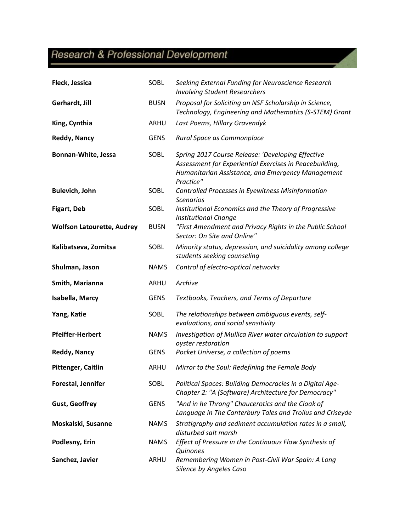# Research & Professional Development

| Fleck, Jessica                    | <b>SOBL</b> | Seeking External Funding for Neuroscience Research<br><b>Involving Student Researchers</b>                                                                                     |
|-----------------------------------|-------------|--------------------------------------------------------------------------------------------------------------------------------------------------------------------------------|
| Gerhardt, Jill                    | <b>BUSN</b> | Proposal for Soliciting an NSF Scholarship in Science,<br>Technology, Engineering and Mathematics (S-STEM) Grant                                                               |
| King, Cynthia                     | ARHU        | Last Poems, Hillary Gravendyk                                                                                                                                                  |
| Reddy, Nancy                      | <b>GENS</b> | Rural Space as Commonplace                                                                                                                                                     |
| Bonnan-White, Jessa               | <b>SOBL</b> | Spring 2017 Course Release: 'Developing Effective<br>Assessment for Experiential Exercises in Peacebuilding,<br>Humanitarian Assistance, and Emergency Management<br>Practice" |
| <b>Bulevich, John</b>             | <b>SOBL</b> | Controlled Processes in Eyewitness Misinformation<br><b>Scenarios</b>                                                                                                          |
| <b>Figart, Deb</b>                | <b>SOBL</b> | Institutional Economics and the Theory of Progressive<br><b>Institutional Change</b>                                                                                           |
| <b>Wolfson Latourette, Audrey</b> | <b>BUSN</b> | "First Amendment and Privacy Rights in the Public School<br>Sector: On Site and Online"                                                                                        |
| Kalibatseva, Zornitsa             | <b>SOBL</b> | Minority status, depression, and suicidality among college<br>students seeking counseling                                                                                      |
| Shulman, Jason                    | <b>NAMS</b> | Control of electro-optical networks                                                                                                                                            |
| Smith, Marianna                   | ARHU        | Archive                                                                                                                                                                        |
| Isabella, Marcy                   | <b>GENS</b> | Textbooks, Teachers, and Terms of Departure                                                                                                                                    |
| Yang, Katie                       | <b>SOBL</b> | The relationships between ambiguous events, self-<br>evaluations, and social sensitivity                                                                                       |
| <b>Pfeiffer-Herbert</b>           | <b>NAMS</b> | Investigation of Mullica River water circulation to support<br>oyster restoration                                                                                              |
| Reddy, Nancy                      | <b>GENS</b> | Pocket Universe, a collection of poems                                                                                                                                         |
| Pittenger, Caitlin                | ARHU        | Mirror to the Soul: Redefining the Female Body                                                                                                                                 |
| Forestal, Jennifer                | SOBL        | Political Spaces: Building Democracies in a Digital Age-<br>Chapter 2: "A (Software) Architecture for Democracy"                                                               |
| <b>Gust, Geoffrey</b>             | <b>GENS</b> | "And in he Throng" Chaucerotics and the Cloak of<br>Language in The Canterbury Tales and Troilus and Criseyde                                                                  |
| Moskalski, Susanne                | <b>NAMS</b> | Stratigraphy and sediment accumulation rates in a small,<br>disturbed salt marsh                                                                                               |
| Podlesny, Erin                    | <b>NAMS</b> | Effect of Pressure in the Continuous Flow Synthesis of<br>Quinones                                                                                                             |
| Sanchez, Javier                   | ARHU        | Remembering Women in Post-Civil War Spain: A Long<br>Silence by Angeles Caso                                                                                                   |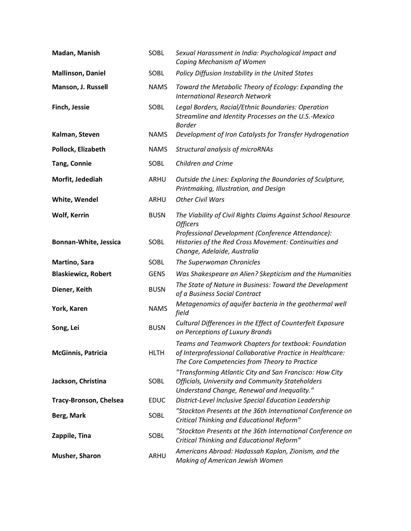| Madan, Manish                 | SOBL        | Sexual Harassment in India: Psychological Impact and<br>Coping Mechanism of Women                                                                                   |
|-------------------------------|-------------|---------------------------------------------------------------------------------------------------------------------------------------------------------------------|
| <b>Mallinson, Daniel</b>      | <b>SOBL</b> | Policy Diffusion Instability in the United States                                                                                                                   |
| Manson, J. Russell            | <b>NAMS</b> | Toward the Metabolic Theory of Ecology: Expanding the<br><b>International Research Network</b>                                                                      |
| Finch, Jessie                 | SOBL        | Legal Borders, Racial/Ethnic Boundaries: Operation<br>Streamline and Identity Processes on the U.S.-Mexico<br><b>Border</b>                                         |
| Kalman, Steven                | <b>NAMS</b> | Development of Iron Catalysts for Transfer Hydrogenation                                                                                                            |
| Pollock, Elizabeth            | <b>NAMS</b> | Structural analysis of microRNAs                                                                                                                                    |
| <b>Tang, Connie</b>           | <b>SOBL</b> | Children and Crime                                                                                                                                                  |
| Morfit, Jedediah              | ARHU        | Outside the Lines: Exploring the Boundaries of Sculpture,<br>Printmaking, Illustration, and Design                                                                  |
| White, Wendel                 | ARHU        | <b>Other Civil Wars</b>                                                                                                                                             |
| <b>Wolf, Kerrin</b>           | <b>BUSN</b> | The Viability of Civil Rights Claims Against School Resource<br><b>Officers</b>                                                                                     |
| Bonnan-White, Jessica         | SOBL        | Professional Development (Conference Attendance):<br>Histories of the Red Cross Movement: Continuities and<br>Change, Adelaide, Australia                           |
| Martino, Sara                 | <b>SOBL</b> | The Superwoman Chronicles                                                                                                                                           |
| <b>Blaskiewicz, Robert</b>    | <b>GENS</b> | Was Shakespeare an Alien? Skepticism and the Humanities                                                                                                             |
| Diener, Keith                 | <b>BUSN</b> | The State of Nature in Business: Toward the Development<br>of a Business Social Contract                                                                            |
| York, Karen                   | <b>NAMS</b> | Metagenomics of aquifer bacteria in the geothermal well<br>field                                                                                                    |
| Song, Lei                     | <b>BUSN</b> | Cultural Differences in the Effect of Counterfeit Exposure<br>on Perceptions of Luxury Brands                                                                       |
| <b>McGinnis, Patricia</b>     | <b>HLTH</b> | Teams and Teamwork Chapters for textbook: Foundation<br>of Interprofessional Collaborative Practice in Healthcare:<br>The Core Competencies from Theory to Practice |
| Jackson, Christina            | <b>SOBL</b> | "Transforming Atlantic City and San Francisco: How City<br>Officials, University and Community Stateholders<br>Understand Change, Renewal and Inequality."          |
| <b>Tracy-Bronson, Chelsea</b> | <b>EDUC</b> | District-Level Inclusive Special Education Leadership                                                                                                               |
| Berg, Mark                    | <b>SOBL</b> | "Stockton Presents at the 36th International Conference on<br>Critical Thinking and Educational Reform"                                                             |
| Zappile, Tina                 | <b>SOBL</b> | "Stockton Presents at the 36th International Conference on<br>Critical Thinking and Educational Reform"                                                             |
| Musher, Sharon                | ARHU        | Americans Abroad: Hadassah Kaplan, Zionism, and the<br>Making of American Jewish Women                                                                              |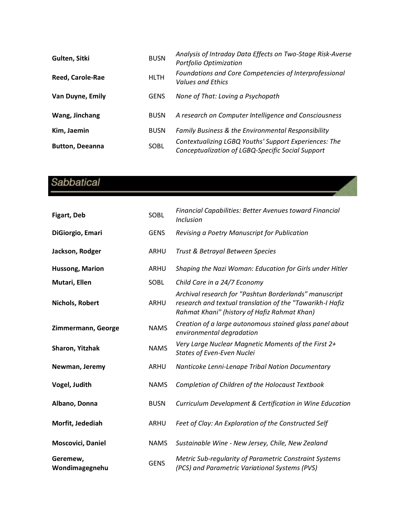| Gulten, Sitki          | <b>BUSN</b> | Analysis of Intraday Data Effects on Two-Stage Risk-Averse<br>Portfolio Optimization                       |
|------------------------|-------------|------------------------------------------------------------------------------------------------------------|
| Reed, Carole-Rae       | <b>HLTH</b> | Foundations and Core Competencies of Interprofessional<br><b>Values and Ethics</b>                         |
| Van Duyne, Emily       | <b>GENS</b> | None of That: Loving a Psychopath                                                                          |
| Wang, Jinchang         | <b>BUSN</b> | A research on Computer Intelligence and Consciousness                                                      |
| Kim, Jaemin            | <b>BUSN</b> | Family Business & the Environmental Responsibility                                                         |
| <b>Button, Deeanna</b> | SOBL        | Contextualizing LGBQ Youths' Support Experiences: The<br>Conceptualization of LGBQ-Specific Social Support |

## Sabbatical

| Figart, Deb                | SOBL        | <b>Financial Capabilities: Better Avenues toward Financial</b><br>Inclusion                                                                                         |
|----------------------------|-------------|---------------------------------------------------------------------------------------------------------------------------------------------------------------------|
| DiGiorgio, Emari           | <b>GENS</b> | Revising a Poetry Manuscript for Publication                                                                                                                        |
| Jackson, Rodger            | ARHU        | Trust & Betrayal Between Species                                                                                                                                    |
| <b>Hussong, Marion</b>     | ARHU        | Shaping the Nazi Woman: Education for Girls under Hitler                                                                                                            |
| Mutari, Ellen              | <b>SOBL</b> | Child Care in a 24/7 Economy                                                                                                                                        |
| Nichols, Robert            | ARHU        | Archival research for "Pashtun Borderlands" manuscript<br>research and textual translation of the "Tawarikh-I Hafiz<br>Rahmat Khani" (history of Hafiz Rahmat Khan) |
| Zimmermann, George         | <b>NAMS</b> | Creation of a large autonomous stained glass panel about<br>environmental degradation                                                                               |
| Sharon, Yitzhak            | <b>NAMS</b> | Very Large Nuclear Magnetic Moments of the First 2+<br><b>States of Even-Even Nuclei</b>                                                                            |
| Newman, Jeremy             | ARHU        | Nanticoke Lenni-Lenape Tribal Nation Documentary                                                                                                                    |
| Vogel, Judith              | <b>NAMS</b> | Completion of Children of the Holocaust Textbook                                                                                                                    |
| Albano, Donna              | <b>BUSN</b> | Curriculum Development & Certification in Wine Education                                                                                                            |
| Morfit, Jedediah           | ARHU        | Feet of Clay: An Exploration of the Constructed Self                                                                                                                |
| Moscovici, Daniel          | <b>NAMS</b> | Sustainable Wine - New Jersey, Chile, New Zealand                                                                                                                   |
| Geremew,<br>Wondimagegnehu | <b>GENS</b> | Metric Sub-regularity of Parametric Constraint Systems<br>(PCS) and Parametric Variational Systems (PVS)                                                            |